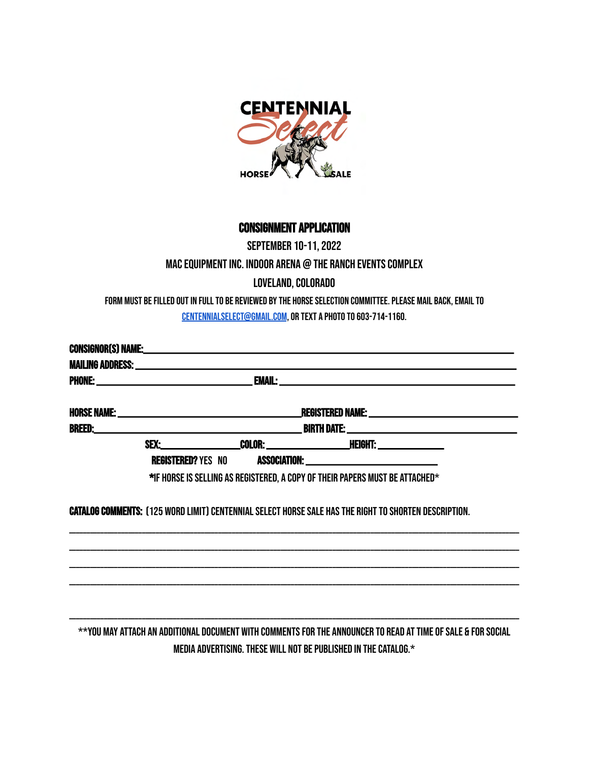

# Consignment Application

# September 10-11, 2022 MAC Equipment Inc. Indoor Arena @ The Ranch Events Complex Loveland, Colorado

Form must be filled out in full to be reviewed by the horse selection committee. Please mail back, email to [centennialselect@gmail.com](mailto:centennialselect@gmail.com), or text a photo t0 603-714-1160.

|  |  | SEX:_______________________COLOR: _________________________HEIGHT: _____________                             |  |
|--|--|--------------------------------------------------------------------------------------------------------------|--|
|  |  |                                                                                                              |  |
|  |  | *IF HORSE IS SELLING AS REGISTERED, A COPY OF THEIR PAPERS MUST BE ATTACHED*                                 |  |
|  |  | <b>CATALOG COMMENTS: (125 WORD LIMIT) CENTENNIAL SELECT HORSE SALE HAS THE RIGHT TO SHORTEN DESCRIPTION.</b> |  |
|  |  |                                                                                                              |  |
|  |  |                                                                                                              |  |
|  |  |                                                                                                              |  |
|  |  |                                                                                                              |  |
|  |  |                                                                                                              |  |
|  |  |                                                                                                              |  |

\*\*You may attach an additional document with comments for the announcer to read at time of sale & for social media advertising. These will not be published in the catalog.\*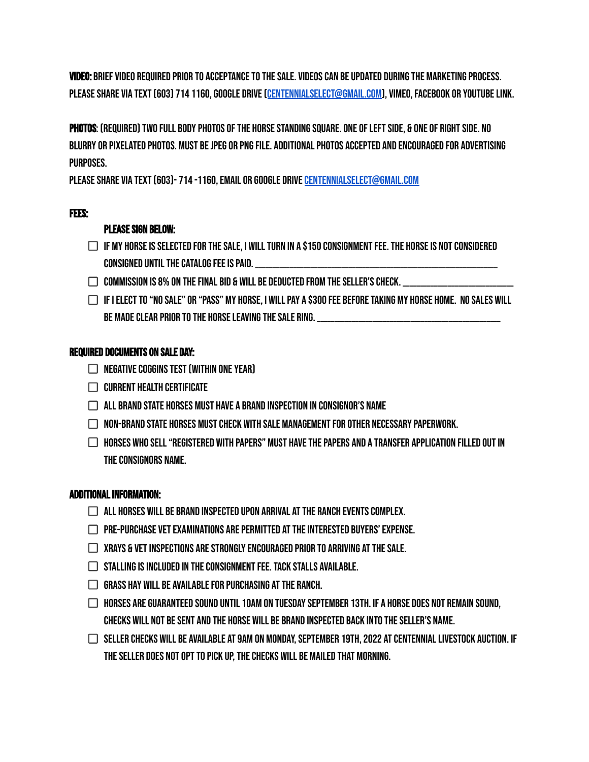Video: Brief Video required prior to acceptance to the sale. Videos can be updated during the marketing process. Please share via text (603) 714 1160, Google Drive ([centennialselect@gmail.com\)](mailto:centennialselect@gmail.com), Vimeo, FACEBOOK or Youtube Link.

Photos: (Required) Two full body photos of the horse standing square. One of left side, & one of right side. No blurry or pixelated photos. Must be jpeg or png file. Additional photos accepted and encouraged for advertising purposes.

PLEASE SHARE VIA TEXT (603)- 714 -1160, EMAIL OR GOOGLE DRIVE CENTENNIALSELECT@GMAIL.COM

#### Fees:

### Please Sign Below:

- $\Box$  if my horse is selected for the sale. I will turn in a \$150 consignment fee. The HORSE is not considered CONSIGNED UNTIL THE CATALOG FEE IS PAID. \_\_\_\_\_\_\_\_\_\_\_\_\_\_\_\_\_\_\_\_\_\_\_\_\_\_\_\_\_\_\_\_\_\_\_\_\_\_\_\_\_\_\_\_\_\_\_\_\_\_\_\_\_\_\_\_\_\_\_\_\_\_\_\_\_\_\_\_\_\_
- $\Box$  commission is 8% on the final bid & will be deducted from the seller's check.
- $\Box$  If I elect to "No sale" or "pass" my horse, I will pay a \$300 fee before taking my horse home. No sales will BE MADE CLEAR PRIOR TO THE HORSE LEAVING THE SALE RING. \_\_\_\_\_\_\_\_\_\_\_\_\_\_\_\_\_\_\_\_\_\_\_\_

#### Required Documents on Sale Day:

- $\Box$  Negative Coggins Test (within one year)
- $\Box$  Current Health Certificate
- $\Box$  all brand state horses must have a brand inspection in consignor's name
- $\Box$  Non-brand State horses must check with sale management for other necessary paperwork.
- $\Box$  Horses who sell "registered with Papers" must have the Papers and a transfer application filled out in the consignors name.

#### Additional information:

- $\Box$  all horses will be brand inspected upon arrival at the ranch events complex.
- $\Box$  Pre-purchase vet examinations are permitted at the interested buyers' expense.
- $\Box$  xrays & vet inspections are strongly encouraged prior to arriving at the sale.
- $\Box$  stalling is included in the consignment fee. Tack stalls available.
- $\Box$  Grass hay will be available for purchasing at the ranch.
- $\Box$  horses are guaranteed sound until 10AM on tuesday september 13th. If a horse does not remain sound, CHECKS WILL NOT BE SENT AND THE HORSE WILL BE BRAND INSPECTED BACK INTO THE SELLER'S NAME.
- $\Box$  seller checks will be available at 9am on Monday, September 19th, 2022 at Centennial Livestock Auction. If the seller does not opt to pick up, the checks will be mailed that morning.